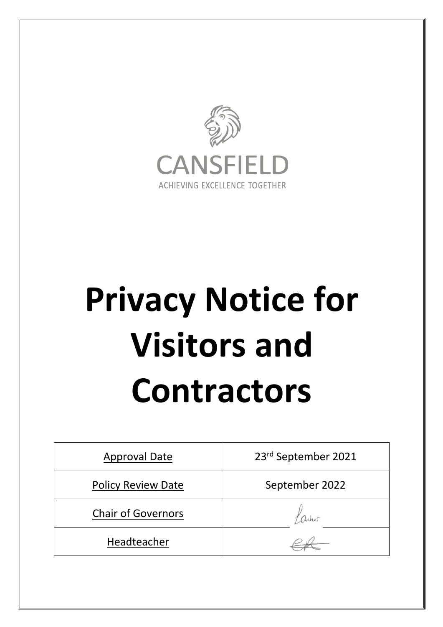

# **Privacy Notice for Visitors and Contractors**

| <b>Approval Date</b>      | 23rd September 2021 |
|---------------------------|---------------------|
| <b>Policy Review Date</b> | September 2022      |
| <b>Chair of Governors</b> |                     |
| Headteacher               |                     |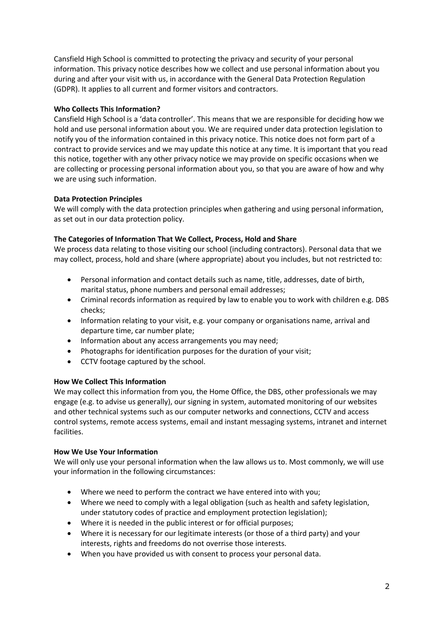Cansfield High School is committed to protecting the privacy and security of your personal information. This privacy notice describes how we collect and use personal information about you during and after your visit with us, in accordance with the General Data Protection Regulation (GDPR). It applies to all current and former visitors and contractors.

# **Who Collects This Information?**

Cansfield High School is a 'data controller'. This means that we are responsible for deciding how we hold and use personal information about you. We are required under data protection legislation to notify you of the information contained in this privacy notice. This notice does not form part of a contract to provide services and we may update this notice at any time. It is important that you read this notice, together with any other privacy notice we may provide on specific occasions when we are collecting or processing personal information about you, so that you are aware of how and why we are using such information.

## **Data Protection Principles**

We will comply with the data protection principles when gathering and using personal information, as set out in our data protection policy.

## **The Categories of Information That We Collect, Process, Hold and Share**

We process data relating to those visiting our school (including contractors). Personal data that we may collect, process, hold and share (where appropriate) about you includes, but not restricted to:

- Personal information and contact details such as name, title, addresses, date of birth, marital status, phone numbers and personal email addresses;
- Criminal records information as required by law to enable you to work with children e.g. DBS checks;
- Information relating to your visit, e.g. your company or organisations name, arrival and departure time, car number plate;
- Information about any access arrangements you may need;
- Photographs for identification purposes for the duration of your visit;
- CCTV footage captured by the school.

#### **How We Collect This Information**

We may collect this information from you, the Home Office, the DBS, other professionals we may engage (e.g. to advise us generally), our signing in system, automated monitoring of our websites and other technical systems such as our computer networks and connections, CCTV and access control systems, remote access systems, email and instant messaging systems, intranet and internet facilities.

#### **How We Use Your Information**

We will only use your personal information when the law allows us to. Most commonly, we will use your information in the following circumstances:

- Where we need to perform the contract we have entered into with you;
- Where we need to comply with a legal obligation (such as health and safety legislation, under statutory codes of practice and employment protection legislation);
- Where it is needed in the public interest or for official purposes;
- Where it is necessary for our legitimate interests (or those of a third party) and your interests, rights and freedoms do not overrise those interests.
- When you have provided us with consent to process your personal data.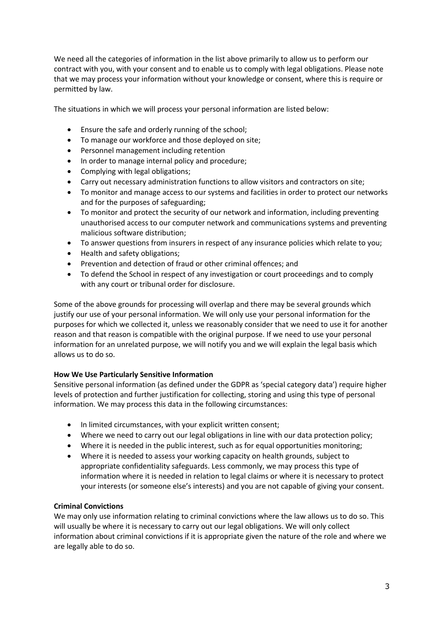We need all the categories of information in the list above primarily to allow us to perform our contract with you, with your consent and to enable us to comply with legal obligations. Please note that we may process your information without your knowledge or consent, where this is require or permitted by law.

The situations in which we will process your personal information are listed below:

- Ensure the safe and orderly running of the school;
- To manage our workforce and those deployed on site;
- Personnel management including retention
- In order to manage internal policy and procedure;
- Complying with legal obligations;
- Carry out necessary administration functions to allow visitors and contractors on site;
- To monitor and manage access to our systems and facilities in order to protect our networks and for the purposes of safeguarding;
- To monitor and protect the security of our network and information, including preventing unauthorised access to our computer network and communications systems and preventing malicious software distribution;
- To answer questions from insurers in respect of any insurance policies which relate to you;
- Health and safety obligations;
- Prevention and detection of fraud or other criminal offences; and
- To defend the School in respect of any investigation or court proceedings and to comply with any court or tribunal order for disclosure.

Some of the above grounds for processing will overlap and there may be several grounds which justify our use of your personal information. We will only use your personal information for the purposes for which we collected it, unless we reasonably consider that we need to use it for another reason and that reason is compatible with the original purpose. If we need to use your personal information for an unrelated purpose, we will notify you and we will explain the legal basis which allows us to do so.

#### **How We Use Particularly Sensitive Information**

Sensitive personal information (as defined under the GDPR as 'special category data') require higher levels of protection and further justification for collecting, storing and using this type of personal information. We may process this data in the following circumstances:

- In limited circumstances, with your explicit written consent;
- Where we need to carry out our legal obligations in line with our data protection policy;
- Where it is needed in the public interest, such as for equal opportunities monitoring;
- Where it is needed to assess your working capacity on health grounds, subject to appropriate confidentiality safeguards. Less commonly, we may process this type of information where it is needed in relation to legal claims or where it is necessary to protect your interests (or someone else's interests) and you are not capable of giving your consent.

#### **Criminal Convictions**

We may only use information relating to criminal convictions where the law allows us to do so. This will usually be where it is necessary to carry out our legal obligations. We will only collect information about criminal convictions if it is appropriate given the nature of the role and where we are legally able to do so.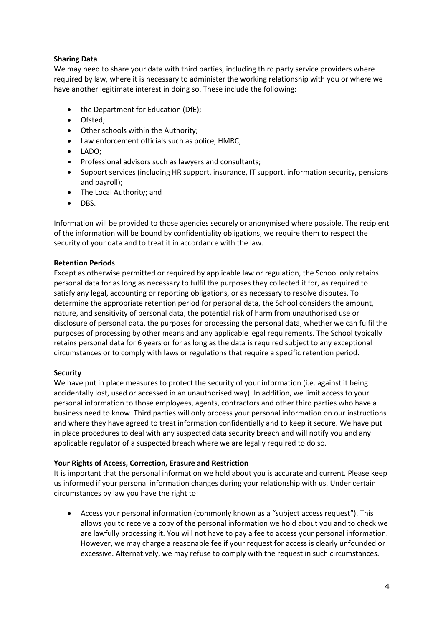# **Sharing Data**

We may need to share your data with third parties, including third party service providers where required by law, where it is necessary to administer the working relationship with you or where we have another legitimate interest in doing so. These include the following:

- the Department for Education (DfE);
- Ofsted;
- Other schools within the Authority;
- Law enforcement officials such as police, HMRC;
- LADO;
- Professional advisors such as lawyers and consultants;
- Support services (including HR support, insurance, IT support, information security, pensions and payroll);
- The Local Authority; and
- DBS.

Information will be provided to those agencies securely or anonymised where possible. The recipient of the information will be bound by confidentiality obligations, we require them to respect the security of your data and to treat it in accordance with the law.

## **Retention Periods**

Except as otherwise permitted or required by applicable law or regulation, the School only retains personal data for as long as necessary to fulfil the purposes they collected it for, as required to satisfy any legal, accounting or reporting obligations, or as necessary to resolve disputes. To determine the appropriate retention period for personal data, the School considers the amount, nature, and sensitivity of personal data, the potential risk of harm from unauthorised use or disclosure of personal data, the purposes for processing the personal data, whether we can fulfil the purposes of processing by other means and any applicable legal requirements. The School typically retains personal data for 6 years or for as long as the data is required subject to any exceptional circumstances or to comply with laws or regulations that require a specific retention period.

# **Security**

We have put in place measures to protect the security of your information (i.e. against it being accidentally lost, used or accessed in an unauthorised way). In addition, we limit access to your personal information to those employees, agents, contractors and other third parties who have a business need to know. Third parties will only process your personal information on our instructions and where they have agreed to treat information confidentially and to keep it secure. We have put in place procedures to deal with any suspected data security breach and will notify you and any applicable regulator of a suspected breach where we are legally required to do so.

# **Your Rights of Access, Correction, Erasure and Restriction**

It is important that the personal information we hold about you is accurate and current. Please keep us informed if your personal information changes during your relationship with us. Under certain circumstances by law you have the right to:

• Access your personal information (commonly known as a "subject access request"). This allows you to receive a copy of the personal information we hold about you and to check we are lawfully processing it. You will not have to pay a fee to access your personal information. However, we may charge a reasonable fee if your request for access is clearly unfounded or excessive. Alternatively, we may refuse to comply with the request in such circumstances.